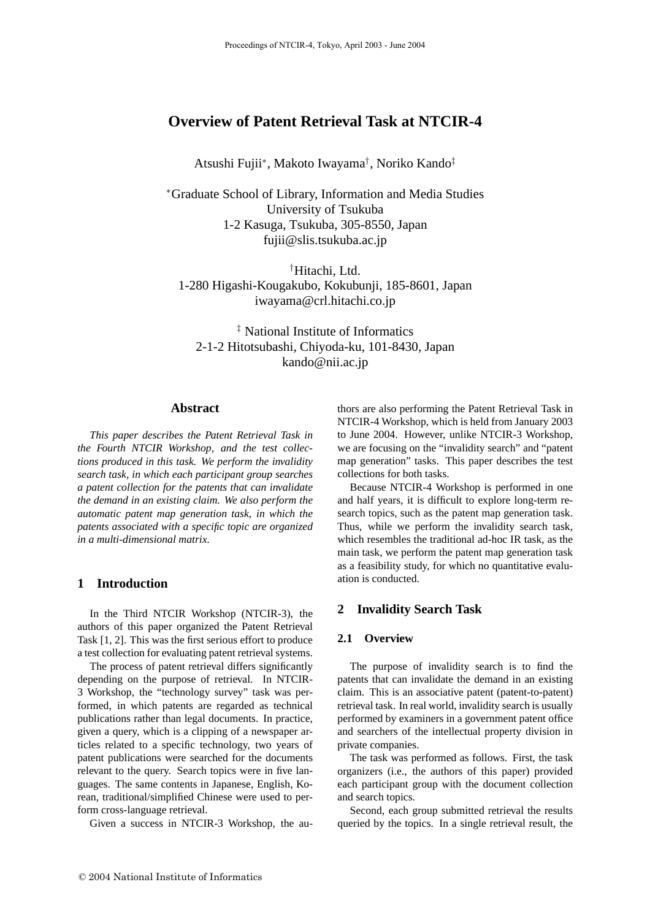# **Overview of Patent Retrieval Task at NTCIR-4**

Atsushi Fujii∗, Makoto Iwayama† , Noriko Kando‡

<sup>∗</sup>Graduate School of Library, Information and Media Studies University of Tsukuba 1-2 Kasuga, Tsukuba, 305-8550, Japan fujii@slis.tsukuba.ac.jp

† Hitachi, Ltd. 1-280 Higashi-Kougakubo, Kokubunji, 185-8601, Japan iwayama@crl.hitachi.co.jp

‡ National Institute of Informatics 2-1-2 Hitotsubashi, Chiyoda-ku, 101-8430, Japan kando@nii.ac.jp

#### **Abstract**

*This paper describes the Patent Retrieval Task in the Fourth NTCIR Workshop, and the test collections produced in this task. We perform the invalidity search task, in which each participant group searches a patent collection for the patents that can invalidate the demand in an existing claim. We also perform the automatic patent map generation task, in which the patents associated with a specific topic are organized in a multi-dimensional matrix.*

## **1 Introduction**

In the Third NTCIR Workshop (NTCIR-3), the authors of this paper organized the Patent Retrieval Task [1, 2]. This was the first serious effort to produce a test collection for evaluating patent retrieval systems.

The process of patent retrieval differs significantly depending on the purpose of retrieval. In NTCIR-3 Workshop, the "technology survey" task was performed, in which patents are regarded as technical publications rather than legal documents. In practice, given a query, which is a clipping of a newspaper articles related to a specific technology, two years of patent publications were searched for the documents relevant to the query. Search topics were in five languages. The same contents in Japanese, English, Korean, traditional/simplified Chinese were used to perform cross-language retrieval.

Given a success in NTCIR-3 Workshop, the au-

thors are also performing the Patent Retrieval Task in NTCIR-4 Workshop, which is held from January 2003 to June 2004. However, unlike NTCIR-3 Workshop, we are focusing on the "invalidity search" and "patent map generation" tasks. This paper describes the test collections for both tasks.

Because NTCIR-4 Workshop is performed in one and half years, it is difficult to explore long-term research topics, such as the patent map generation task. Thus, while we perform the invalidity search task, which resembles the traditional ad-hoc IR task, as the main task, we perform the patent map generation task as a feasibility study, for which no quantitative evaluation is conducted.

## **2 Invalidity Search Task**

## **2.1 Overview**

The purpose of invalidity search is to find the patents that can invalidate the demand in an existing claim. This is an associative patent (patent-to-patent) retrieval task. In real world, invalidity search is usually performed by examiners in a government patent office and searchers of the intellectual property division in private companies.

The task was performed as follows. First, the task organizers (i.e., the authors of this paper) provided each participant group with the document collection and search topics.

Second, each group submitted retrieval the results queried by the topics. In a single retrieval result, the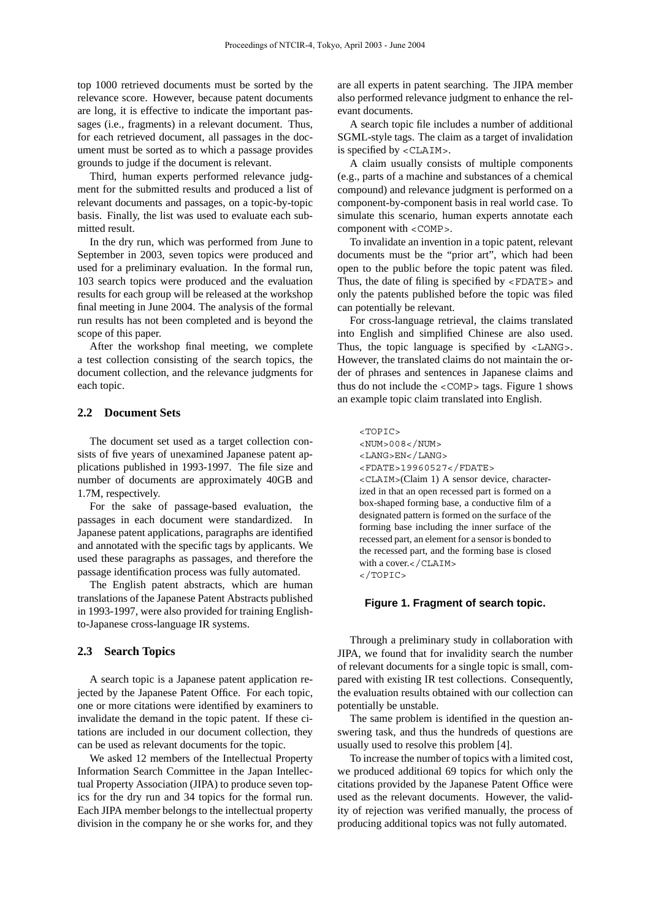top 1000 retrieved documents must be sorted by the relevance score. However, because patent documents are long, it is effective to indicate the important passages (i.e., fragments) in a relevant document. Thus, for each retrieved document, all passages in the document must be sorted as to which a passage provides grounds to judge if the document is relevant.

Third, human experts performed relevance judgment for the submitted results and produced a list of relevant documents and passages, on a topic-by-topic basis. Finally, the list was used to evaluate each submitted result.

In the dry run, which was performed from June to September in 2003, seven topics were produced and used for a preliminary evaluation. In the formal run, 103 search topics were produced and the evaluation results for each group will be released at the workshop final meeting in June 2004. The analysis of the formal run results has not been completed and is beyond the scope of this paper.

After the workshop final meeting, we complete a test collection consisting of the search topics, the document collection, and the relevance judgments for each topic.

## **2.2 Document Sets**

The document set used as a target collection consists of five years of unexamined Japanese patent applications published in 1993-1997. The file size and number of documents are approximately 40GB and 1.7M, respectively.

For the sake of passage-based evaluation, the passages in each document were standardized. In Japanese patent applications, paragraphs are identified and annotated with the specific tags by applicants. We used these paragraphs as passages, and therefore the passage identification process was fully automated.

The English patent abstracts, which are human translations of the Japanese Patent Abstracts published in 1993-1997, were also provided for training Englishto-Japanese cross-language IR systems.

## **2.3 Search Topics**

A search topic is a Japanese patent application rejected by the Japanese Patent Office. For each topic, one or more citations were identified by examiners to invalidate the demand in the topic patent. If these citations are included in our document collection, they can be used as relevant documents for the topic.

We asked 12 members of the Intellectual Property Information Search Committee in the Japan Intellectual Property Association (JIPA) to produce seven topics for the dry run and 34 topics for the formal run. Each JIPA member belongs to the intellectual property division in the company he or she works for, and they are all experts in patent searching. The JIPA member also performed relevance judgment to enhance the relevant documents.

A search topic file includes a number of additional SGML-style tags. The claim as a target of invalidation is specified by <CLAIM>.

A claim usually consists of multiple components (e.g., parts of a machine and substances of a chemical compound) and relevance judgment is performed on a component-by-component basis in real world case. To simulate this scenario, human experts annotate each component with <COMP>.

To invalidate an invention in a topic patent, relevant documents must be the "prior art", which had been open to the public before the topic patent was filed. Thus, the date of filing is specified by <FDATE> and only the patents published before the topic was filed can potentially be relevant.

For cross-language retrieval, the claims translated into English and simplified Chinese are also used. Thus, the topic language is specified by <LANG>. However, the translated claims do not maintain the order of phrases and sentences in Japanese claims and thus do not include the  $\langle$  COMP $>$  tags. Figure 1 shows an example topic claim translated into English.

<TOPIC> <NUM>008</NUM> <LANG>EN</LANG> <FDATE>19960527</FDATE> <CLAIM>(Claim 1) A sensor device, characterized in that an open recessed part is formed on a box-shaped forming base, a conductive film of a designated pattern is formed on the surface of the forming base including the inner surface of the recessed part, an element for a sensor is bonded to the recessed part, and the forming base is closed with a cover.</CLAIM> </TOPIC>

#### **Figure 1. Fragment of search topic.**

Through a preliminary study in collaboration with JIPA, we found that for invalidity search the number of relevant documents for a single topic is small, compared with existing IR test collections. Consequently, the evaluation results obtained with our collection can potentially be unstable.

The same problem is identified in the question answering task, and thus the hundreds of questions are usually used to resolve this problem [4].

To increase the number of topics with a limited cost, we produced additional 69 topics for which only the citations provided by the Japanese Patent Office were used as the relevant documents. However, the validity of rejection was verified manually, the process of producing additional topics was not fully automated.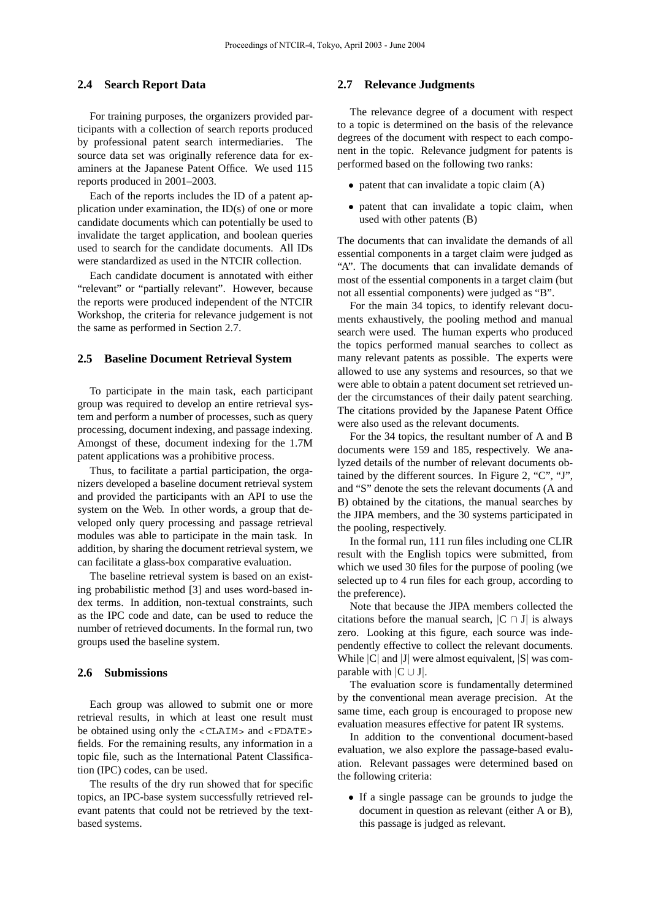## **2.4 Search Report Data**

For training purposes, the organizers provided participants with a collection of search reports produced by professional patent search intermediaries. The source data set was originally reference data for examiners at the Japanese Patent Office. We used 115 reports produced in 2001–2003.

Each of the reports includes the ID of a patent application under examination, the ID(s) of one or more candidate documents which can potentially be used to invalidate the target application, and boolean queries used to search for the candidate documents. All IDs were standardized as used in the NTCIR collection.

Each candidate document is annotated with either "relevant" or "partially relevant". However, because the reports were produced independent of the NTCIR Workshop, the criteria for relevance judgement is not the same as performed in Section 2.7.

### **2.5 Baseline Document Retrieval System**

To participate in the main task, each participant group was required to develop an entire retrieval system and perform a number of processes, such as query processing, document indexing, and passage indexing. Amongst of these, document indexing for the 1.7M patent applications was a prohibitive process.

Thus, to facilitate a partial participation, the organizers developed a baseline document retrieval system and provided the participants with an API to use the system on the Web. In other words, a group that developed only query processing and passage retrieval modules was able to participate in the main task. In addition, by sharing the document retrieval system, we can facilitate a glass-box comparative evaluation.

The baseline retrieval system is based on an existing probabilistic method [3] and uses word-based index terms. In addition, non-textual constraints, such as the IPC code and date, can be used to reduce the number of retrieved documents. In the formal run, two groups used the baseline system.

#### **2.6 Submissions**

Each group was allowed to submit one or more retrieval results, in which at least one result must be obtained using only the <CLAIM> and <FDATE> fields. For the remaining results, any information in a topic file, such as the International Patent Classification (IPC) codes, can be used.

The results of the dry run showed that for specific topics, an IPC-base system successfully retrieved relevant patents that could not be retrieved by the textbased systems.

## **2.7 Relevance Judgments**

The relevance degree of a document with respect to a topic is determined on the basis of the relevance degrees of the document with respect to each component in the topic. Relevance judgment for patents is performed based on the following two ranks:

- patent that can invalidate a topic claim (A)
- patent that can invalidate a topic claim, when used with other patents (B)

The documents that can invalidate the demands of all essential components in a target claim were judged as "A". The documents that can invalidate demands of most of the essential components in a target claim (but not all essential components) were judged as "B".

For the main 34 topics, to identify relevant documents exhaustively, the pooling method and manual search were used. The human experts who produced the topics performed manual searches to collect as many relevant patents as possible. The experts were allowed to use any systems and resources, so that we were able to obtain a patent document set retrieved under the circumstances of their daily patent searching. The citations provided by the Japanese Patent Office were also used as the relevant documents.

For the 34 topics, the resultant number of A and B documents were 159 and 185, respectively. We analyzed details of the number of relevant documents obtained by the different sources. In Figure 2, "C", "J", and "S" denote the sets the relevant documents (A and B) obtained by the citations, the manual searches by the JIPA members, and the 30 systems participated in the pooling, respectively.

In the formal run, 111 run files including one CLIR result with the English topics were submitted, from which we used 30 files for the purpose of pooling (we selected up to 4 run files for each group, according to the preference).

Note that because the JIPA members collected the citations before the manual search,  $|C \cap J|$  is always zero. Looking at this figure, each source was independently effective to collect the relevant documents. While  $|C|$  and  $|J|$  were almost equivalent,  $|S|$  was comparable with  $|C \cup J|$ .

The evaluation score is fundamentally determined by the conventional mean average precision. At the same time, each group is encouraged to propose new evaluation measures effective for patent IR systems.

In addition to the conventional document-based evaluation, we also explore the passage-based evaluation. Relevant passages were determined based on the following criteria:

• If a single passage can be grounds to judge the document in question as relevant (either A or B), this passage is judged as relevant.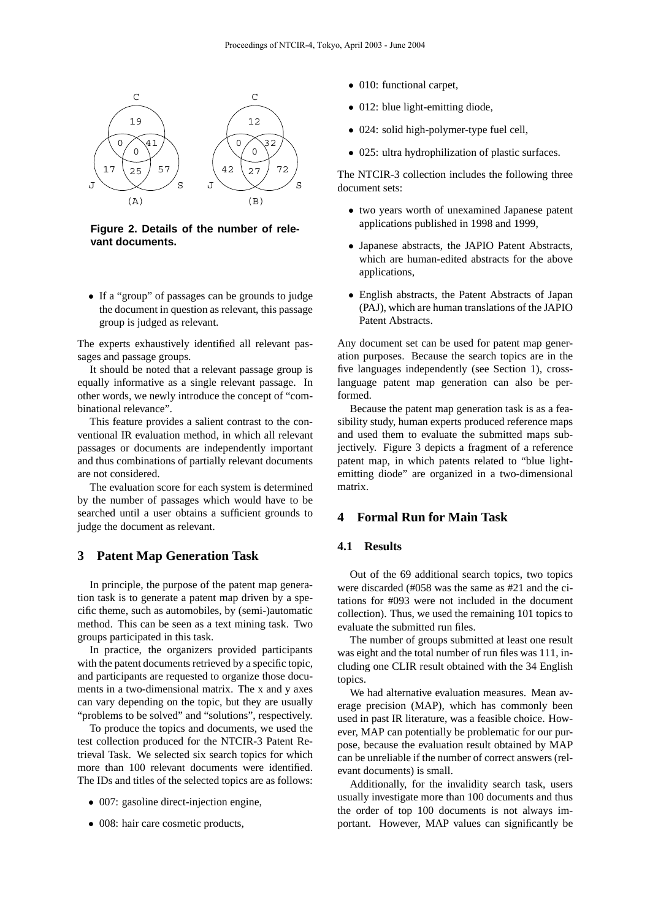

**Figure 2. Details of the number of relevant documents.**

• If a "group" of passages can be grounds to judge the document in question as relevant, this passage group is judged as relevant.

The experts exhaustively identified all relevant passages and passage groups.

It should be noted that a relevant passage group is equally informative as a single relevant passage. In other words, we newly introduce the concept of "combinational relevance".

This feature provides a salient contrast to the conventional IR evaluation method, in which all relevant passages or documents are independently important and thus combinations of partially relevant documents are not considered.

The evaluation score for each system is determined by the number of passages which would have to be searched until a user obtains a sufficient grounds to judge the document as relevant.

## **3 Patent Map Generation Task**

In principle, the purpose of the patent map generation task is to generate a patent map driven by a specific theme, such as automobiles, by (semi-)automatic method. This can be seen as a text mining task. Two groups participated in this task.

In practice, the organizers provided participants with the patent documents retrieved by a specific topic, and participants are requested to organize those documents in a two-dimensional matrix. The x and y axes can vary depending on the topic, but they are usually "problems to be solved" and "solutions", respectively.

To produce the topics and documents, we used the test collection produced for the NTCIR-3 Patent Retrieval Task. We selected six search topics for which more than 100 relevant documents were identified. The IDs and titles of the selected topics are as follows:

- 007: gasoline direct-injection engine,
- 008: hair care cosmetic products,
- 010: functional carpet,
- 012: blue light-emitting diode,
- 024: solid high-polymer-type fuel cell,
- 025: ultra hydrophilization of plastic surfaces.

The NTCIR-3 collection includes the following three document sets:

- two years worth of unexamined Japanese patent applications published in 1998 and 1999,
- Japanese abstracts, the JAPIO Patent Abstracts, which are human-edited abstracts for the above applications,
- English abstracts, the Patent Abstracts of Japan (PAJ), which are human translations of the JAPIO Patent Abstracts.

Any document set can be used for patent map generation purposes. Because the search topics are in the five languages independently (see Section 1), crosslanguage patent map generation can also be performed.

Because the patent map generation task is as a feasibility study, human experts produced reference maps and used them to evaluate the submitted maps subjectively. Figure 3 depicts a fragment of a reference patent map, in which patents related to "blue lightemitting diode" are organized in a two-dimensional matrix.

## **4 Formal Run for Main Task**

## **4.1 Results**

Out of the 69 additional search topics, two topics were discarded (#058 was the same as #21 and the citations for #093 were not included in the document collection). Thus, we used the remaining 101 topics to evaluate the submitted run files.

The number of groups submitted at least one result was eight and the total number of run files was 111, including one CLIR result obtained with the 34 English topics.

We had alternative evaluation measures. Mean average precision (MAP), which has commonly been used in past IR literature, was a feasible choice. However, MAP can potentially be problematic for our purpose, because the evaluation result obtained by MAP can be unreliable if the number of correct answers (relevant documents) is small.

Additionally, for the invalidity search task, users usually investigate more than 100 documents and thus the order of top 100 documents is not always important. However, MAP values can significantly be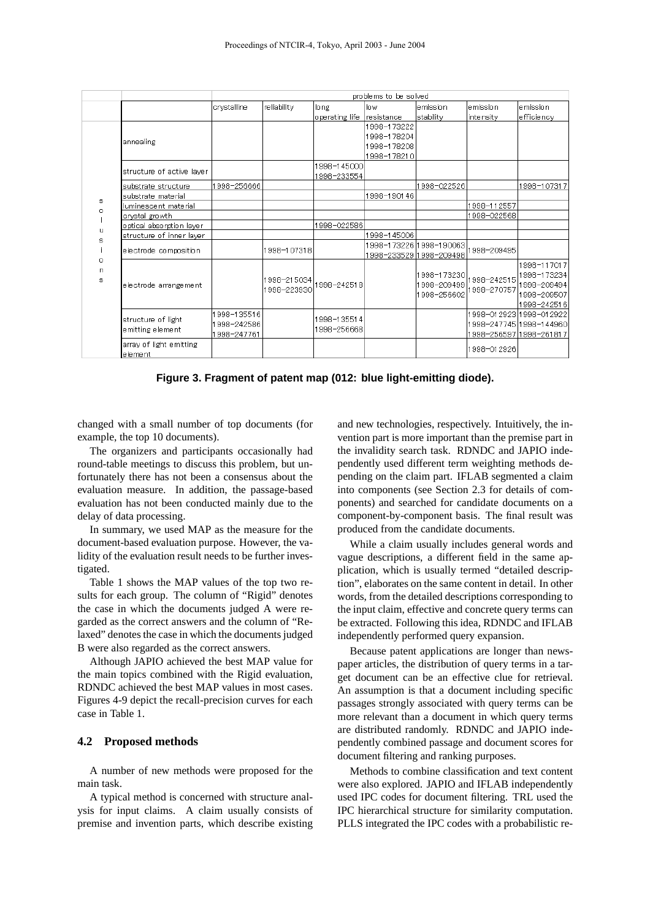|             |                                        | problems to be solved                    |                            |                            |                                                          |                                                      |                            |                                                                                |  |  |
|-------------|----------------------------------------|------------------------------------------|----------------------------|----------------------------|----------------------------------------------------------|------------------------------------------------------|----------------------------|--------------------------------------------------------------------------------|--|--|
|             |                                        | crystalline                              | re liability               | long                       | low.                                                     | lemission                                            | lemission                  | lemission.                                                                     |  |  |
|             |                                        |                                          |                            | operating life             | Iresistance                                              | stability                                            | lintensity                 | efficiency                                                                     |  |  |
|             | annealing                              |                                          |                            |                            | 1998-173222<br>1998-178204<br>1998-178208<br>1998-178210 |                                                      |                            |                                                                                |  |  |
|             | structure of active layer              |                                          |                            | 1998-145000<br>1998-233554 |                                                          |                                                      |                            |                                                                                |  |  |
|             | Isubstrate structure                   | 1998-256666                              |                            |                            |                                                          | 1998-022526                                          |                            | 1998-107317                                                                    |  |  |
|             | Isubstrate material                    |                                          |                            |                            | 1998-190146                                              |                                                      |                            |                                                                                |  |  |
| s<br>ο      | luminescent material                   |                                          |                            |                            |                                                          |                                                      | 1998-112557                |                                                                                |  |  |
|             | crystal growth                         |                                          |                            |                            |                                                          |                                                      | 1998-022568                |                                                                                |  |  |
| u           | optical absorption layer               |                                          |                            | 1998-022586                |                                                          |                                                      |                            |                                                                                |  |  |
| s           | structure of inner layer               |                                          |                            |                            | 1998-145006                                              |                                                      |                            |                                                                                |  |  |
| 0<br>n<br>s | electrode composition                  |                                          | 1998-107318                |                            |                                                          | 1998-173226   1998-190063<br>1998-233529 1998-209498 | 998-209495                 |                                                                                |  |  |
|             | electrode arrangement                  |                                          | 1998-215034<br>1998-223930 | 1998-242518                |                                                          | 1998–173230 <br>1998-209499<br>1998-256602           | 1998-242515<br>1998-270757 | 1998-117017<br>1998-173234<br>1998-209494<br>1998-209507<br>1998-242516        |  |  |
|             | structure of light<br>emitting element | 1998-135516<br>998-242586<br>1998-247761 |                            | 1998-135514<br>1998-256668 |                                                          |                                                      |                            | 1998-012923 1998-012922 <br>1998-247745 1998-144960<br>1998-256597 1998-261817 |  |  |
|             | array of light emitting<br>element     |                                          |                            |                            |                                                          |                                                      | 1998-012926                |                                                                                |  |  |

**Figure 3. Fragment of patent map (012: blue light-emitting diode).**

changed with a small number of top documents (for example, the top 10 documents).

The organizers and participants occasionally had round-table meetings to discuss this problem, but unfortunately there has not been a consensus about the evaluation measure. In addition, the passage-based evaluation has not been conducted mainly due to the delay of data processing.

In summary, we used MAP as the measure for the document-based evaluation purpose. However, the validity of the evaluation result needs to be further investigated.

Table 1 shows the MAP values of the top two results for each group. The column of "Rigid" denotes the case in which the documents judged A were regarded as the correct answers and the column of "Relaxed" denotes the case in which the documents judged B were also regarded as the correct answers.

Although JAPIO achieved the best MAP value for the main topics combined with the Rigid evaluation, RDNDC achieved the best MAP values in most cases. Figures 4-9 depict the recall-precision curves for each case in Table 1.

#### **4.2 Proposed methods**

A number of new methods were proposed for the main task.

A typical method is concerned with structure analysis for input claims. A claim usually consists of premise and invention parts, which describe existing and new technologies, respectively. Intuitively, the invention part is more important than the premise part in the invalidity search task. RDNDC and JAPIO independently used different term weighting methods depending on the claim part. IFLAB segmented a claim into components (see Section 2.3 for details of components) and searched for candidate documents on a component-by-component basis. The final result was produced from the candidate documents.

While a claim usually includes general words and vague descriptions, a different field in the same application, which is usually termed "detailed description", elaborates on the same content in detail. In other words, from the detailed descriptions corresponding to the input claim, effective and concrete query terms can be extracted. Following this idea, RDNDC and IFLAB independently performed query expansion.

Because patent applications are longer than newspaper articles, the distribution of query terms in a target document can be an effective clue for retrieval. An assumption is that a document including specific passages strongly associated with query terms can be more relevant than a document in which query terms are distributed randomly. RDNDC and JAPIO independently combined passage and document scores for document filtering and ranking purposes.

Methods to combine classification and text content were also explored. JAPIO and IFLAB independently used IPC codes for document filtering. TRL used the IPC hierarchical structure for similarity computation. PLLS integrated the IPC codes with a probabilistic re-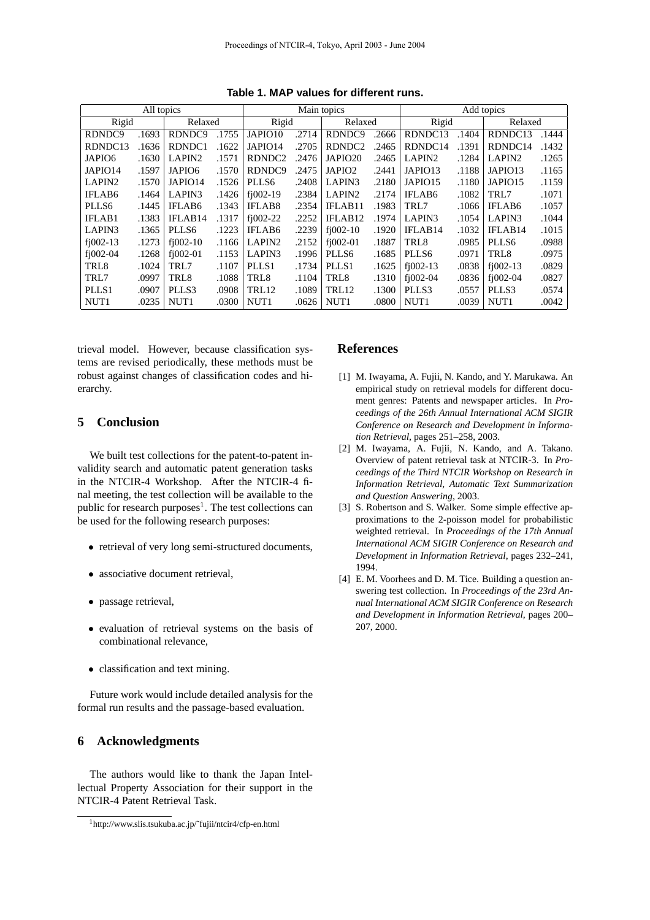| All topics              |       |                         |       | Main topics             |         |                         |       | Add topics          |         |                         |       |
|-------------------------|-------|-------------------------|-------|-------------------------|---------|-------------------------|-------|---------------------|---------|-------------------------|-------|
| Rigid<br>Relaxed        |       |                         | Rigid |                         | Relaxed |                         | Rigid |                     | Relaxed |                         |       |
| RDNDC <sub>9</sub>      | .1693 | RDNDC <sub>9</sub>      | .1755 | JAPIO10                 | .2714   | RDNDC9                  | .2666 | RDNDC13             | .1404   | RDNDC13                 | .1444 |
| RDNDC13                 | .1636 | RDNDC1                  | .1622 | JAPIO14                 | .2705   | RDNDC <sub>2</sub>      | .2465 | RDNDC14             | .1391   | RDNDC14                 | .1432 |
| JAPIO6                  | .1630 | LAPIN <sub>2</sub>      | .1571 | RDNDC <sub>2</sub>      | .2476   | JAPIO20                 | .2465 | LAPIN <sub>2</sub>  | .1284   | LAPIN <sub>2</sub>      | .1265 |
| JAPIO14                 | .1597 | JAPIO6                  | .1570 | RDNDC <sub>9</sub>      | .2475   | JAPIO <sub>2</sub>      | .2441 | JAPIO13             | .1188   | JAPIO13                 | .1165 |
| LAPIN <sub>2</sub>      | .1570 | JAPIO14                 | .1526 | PLLS6                   | .2408   | LAPIN3                  | .2180 | JAPIO15             | .1180   | JAPIO15                 | .1159 |
| <b>IFLAB6</b>           | .1464 | LAPIN3                  | .1426 | $f$ <sub>1</sub> 002-19 | .2384   | LAPIN <sub>2</sub>      | .2174 | <b>IFLAB6</b>       | .1082   | TRL7                    | .1071 |
| PLLS6                   | .1445 | <b>IFLAB6</b>           | .1343 | <b>IFLAB8</b>           | .2354   | IFLAB11                 | .1983 | TRL7                | .1066   | IFLAB6                  | .1057 |
| <b>IFLAB1</b>           | .1383 | IFLAB <sub>14</sub>     | .1317 | $f$ <sub>1</sub> 002-22 | .2252   | IFLAB <sub>12</sub>     | .1974 | LAPIN3              | .1054   | LAPIN3                  | .1044 |
| LAPIN3                  | .1365 | PLLS6                   | .1223 | <b>IFLAB6</b>           | .2239   | $f$ <sub>1</sub> 002-10 | .1920 | IFLAB <sub>14</sub> | .1032   | IFLAB <sub>14</sub>     | .1015 |
| $f$ <sub>1002</sub> -13 | .1273 | $f$ <sub>1</sub> 002-10 | .1166 | LAPIN <sub>2</sub>      | .2152   | $f$ <sub>1</sub> 002-01 | .1887 | TRL8                | .0985   | PLLS6                   | .0988 |
| $f$ <sub>1</sub> 002-04 | .1268 | $f1002-01$              | .1153 | LAPIN3                  | .1996   | PLLS6                   | .1685 | PLLS6               | .0971   | TRL <sub>8</sub>        | .0975 |
| TRL8                    | .1024 | TRL7                    | .1107 | PLLS <sub>1</sub>       | .1734   | PLLS <sub>1</sub>       | .1625 | $f1002-13$          | .0838   | $f$ <sub>1</sub> 002-13 | .0829 |
| TRL7                    | .0997 | TRL <sub>8</sub>        | .1088 | TRL8                    | .1104   | TRL8                    | .1310 | $f1002-04$          | .0836   | $f1002-04$              | .0827 |
| PLLS <sub>1</sub>       | .0907 | PLLS3                   | .0908 | TRL12                   | .1089   | TRL12                   | .1300 | PLLS3               | .0557   | PLLS3                   | .0574 |
| NUT1                    | .0235 | NUT <sub>1</sub>        | .0300 | NUT <sub>1</sub>        | .0626   | NUT <sub>1</sub>        | .0800 | NUT <sub>1</sub>    | .0039   | NUT <sub>1</sub>        | .0042 |

**Table 1. MAP values for different runs.**

trieval model. However, because classification systems are revised periodically, these methods must be robust against changes of classification codes and hierarchy.

## **5 Conclusion**

We built test collections for the patent-to-patent invalidity search and automatic patent generation tasks in the NTCIR-4 Workshop. After the NTCIR-4 final meeting, the test collection will be available to the public for research purposes<sup>1</sup>. The test collections can be used for the following research purposes:

- retrieval of very long semi-structured documents,
- associative document retrieval,
- passage retrieval,
- evaluation of retrieval systems on the basis of combinational relevance,
- classification and text mining.

Future work would include detailed analysis for the formal run results and the passage-based evaluation.

## **6 Acknowledgments**

The authors would like to thank the Japan Intellectual Property Association for their support in the NTCIR-4 Patent Retrieval Task.

## **References**

- [1] M. Iwayama, A. Fujii, N. Kando, and Y. Marukawa. An empirical study on retrieval models for different document genres: Patents and newspaper articles. In *Proceedings of the 26th Annual International ACM SIGIR Conference on Research and Development in Information Retrieval*, pages 251–258, 2003.
- [2] M. Iwayama, A. Fujii, N. Kando, and A. Takano. Overview of patent retrieval task at NTCIR-3. In *Proceedings of the Third NTCIR Workshop on Research in Information Retrieval, Automatic Text Summarization and Question Answering*, 2003.
- [3] S. Robertson and S. Walker. Some simple effective approximations to the 2-poisson model for probabilistic weighted retrieval. In *Proceedings of the 17th Annual International ACM SIGIR Conference on Research and Development in Information Retrieval*, pages 232–241, 1994.
- [4] E. M. Voorhees and D. M. Tice. Building a question answering test collection. In *Proceedings of the 23rd Annual International ACM SIGIR Conference on Research and Development in Information Retrieval*, pages 200– 207, 2000.

<sup>1</sup>http://www.slis.tsukuba.ac.jp/˜fujii/ntcir4/cfp-en.html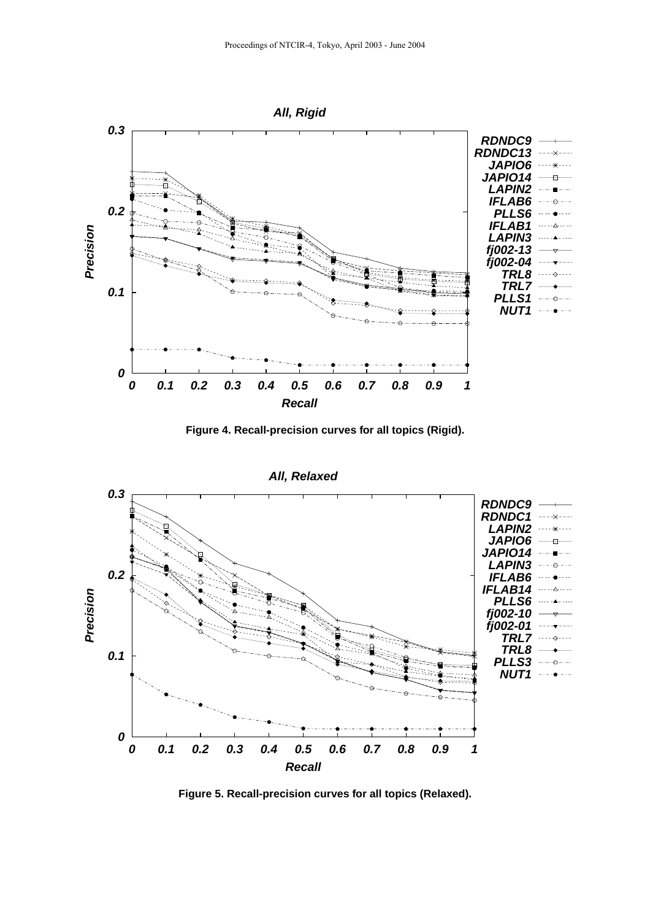

**Figure 4. Recall-precision curves for all topics (Rigid).**



**Figure 5. Recall-precision curves for all topics (Relaxed).**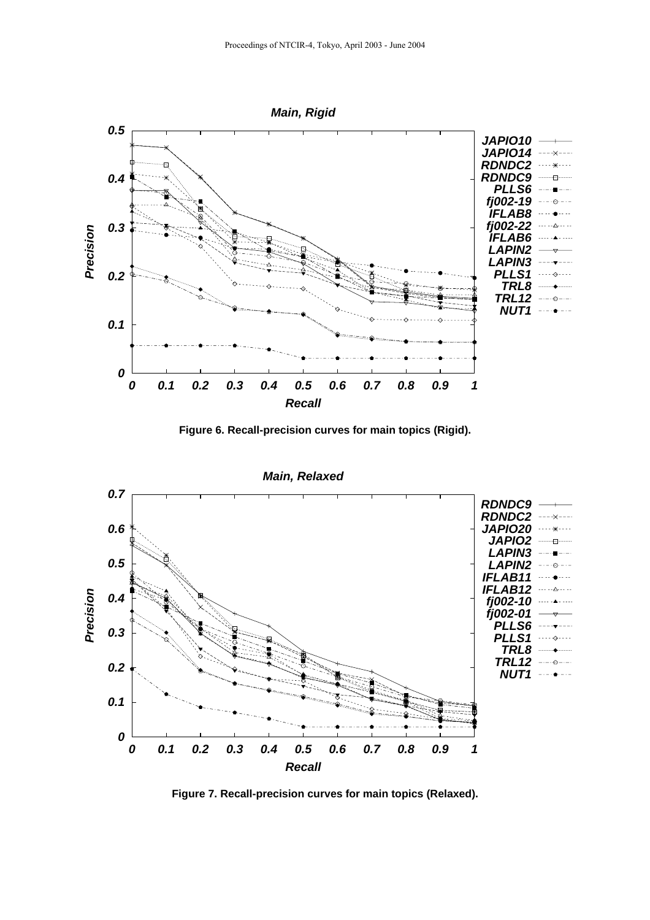

**Figure 6. Recall-precision curves for main topics (Rigid).**



**Figure 7. Recall-precision curves for main topics (Relaxed).**